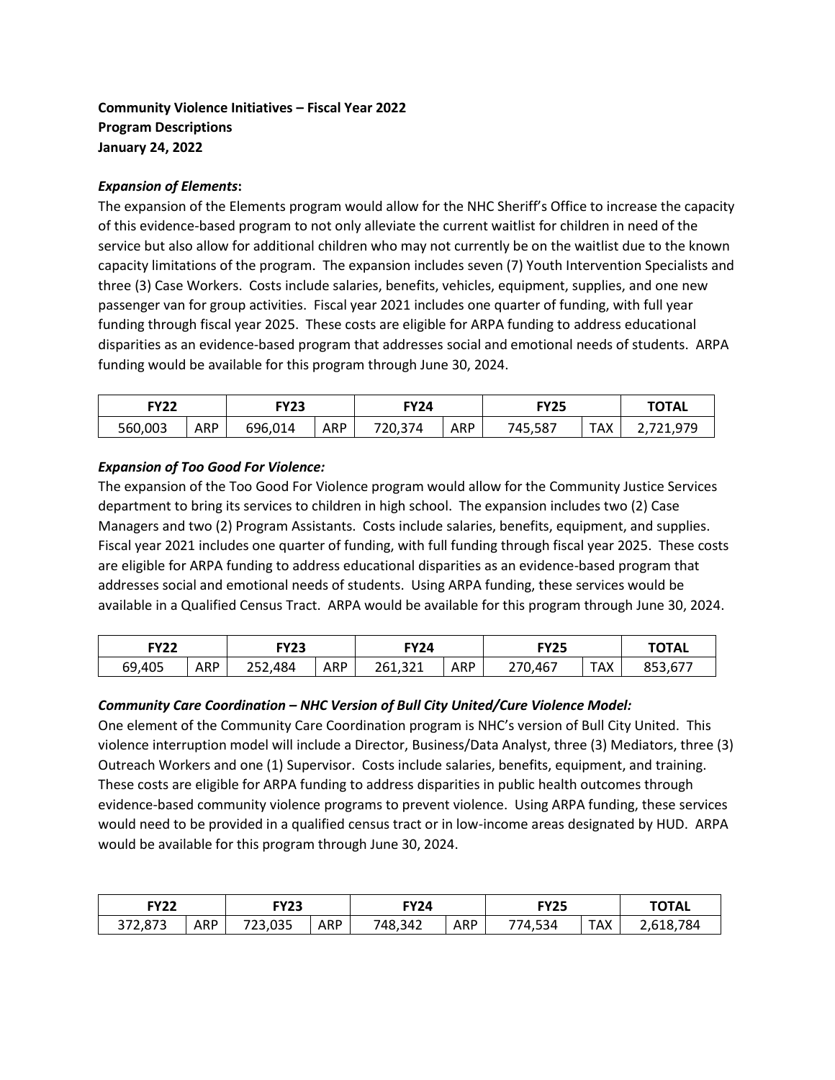# **Community Violence Initiatives – Fiscal Year 2022 Program Descriptions January 24, 2022**

### *Expansion of Elements***:**

The expansion of the Elements program would allow for the NHC Sheriff's Office to increase the capacity of this evidence-based program to not only alleviate the current waitlist for children in need of the service but also allow for additional children who may not currently be on the waitlist due to the known capacity limitations of the program. The expansion includes seven (7) Youth Intervention Specialists and three (3) Case Workers. Costs include salaries, benefits, vehicles, equipment, supplies, and one new passenger van for group activities. Fiscal year 2021 includes one quarter of funding, with full year funding through fiscal year 2025. These costs are eligible for ARPA funding to address educational disparities as an evidence-based program that addresses social and emotional needs of students. ARPA funding would be available for this program through June 30, 2024.

| <b>FY22</b><br><b>FY23</b> |            |         | FY24       |         | FY25       |         | <b>TOTAL</b> |                                   |
|----------------------------|------------|---------|------------|---------|------------|---------|--------------|-----------------------------------|
| 560,003                    | <b>ARP</b> | 696,014 | <b>ARP</b> | 720,374 | <b>ARP</b> | 745,587 | TAX          | 721 979<br>ں <i>، ں ، ⊥ ، ے</i> ، |

#### *Expansion of Too Good For Violence:*

The expansion of the Too Good For Violence program would allow for the Community Justice Services department to bring its services to children in high school. The expansion includes two (2) Case Managers and two (2) Program Assistants. Costs include salaries, benefits, equipment, and supplies. Fiscal year 2021 includes one quarter of funding, with full funding through fiscal year 2025. These costs are eligible for ARPA funding to address educational disparities as an evidence-based program that addresses social and emotional needs of students. Using ARPA funding, these services would be available in a Qualified Census Tract. ARPA would be available for this program through June 30, 2024.

| <b>FY22</b> |            | FY23          |            | FY24    |            | <b>FY25</b> |            | <b>TOTAL</b> |
|-------------|------------|---------------|------------|---------|------------|-------------|------------|--------------|
| 69,405      | <b>ARP</b> | ,484<br>252,4 | <b>ARP</b> | 261,321 | <b>ARP</b> | 270,467     | <b>TAX</b> | 853,677      |

## *Community Care Coordination – NHC Version of Bull City United/Cure Violence Model:*

One element of the Community Care Coordination program is NHC's version of Bull City United. This violence interruption model will include a Director, Business/Data Analyst, three (3) Mediators, three (3) Outreach Workers and one (1) Supervisor. Costs include salaries, benefits, equipment, and training. These costs are eligible for ARPA funding to address disparities in public health outcomes through evidence-based community violence programs to prevent violence. Using ARPA funding, these services would need to be provided in a qualified census tract or in low-income areas designated by HUD. ARPA would be available for this program through June 30, 2024.

| <b>FY22</b><br>FY23 |     | FY24    |     | <b>FY25</b> |     | <b>TOTAL</b> |     |                |
|---------------------|-----|---------|-----|-------------|-----|--------------|-----|----------------|
| 372,873             | ARP | 723,035 | ARP | 748,342     | ARP | 774,534      | TAX | 784<br>2,618,7 |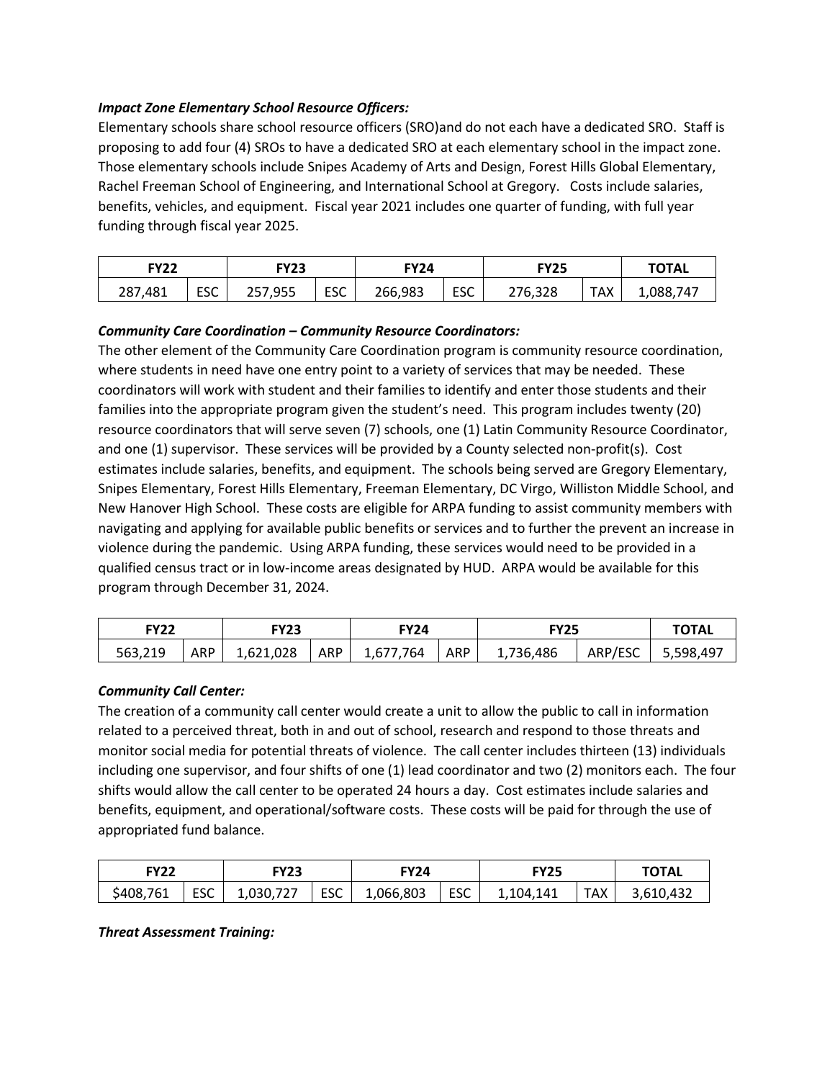#### *Impact Zone Elementary School Resource Officers:*

Elementary schools share school resource officers (SRO)and do not each have a dedicated SRO. Staff is proposing to add four (4) SROs to have a dedicated SRO at each elementary school in the impact zone. Those elementary schools include Snipes Academy of Arts and Design, Forest Hills Global Elementary, Rachel Freeman School of Engineering, and International School at Gregory. Costs include salaries, benefits, vehicles, and equipment. Fiscal year 2021 includes one quarter of funding, with full year funding through fiscal year 2025.

| <b>FY22</b> |            | FY23    |     | <b>FY24</b> |            | <b>FY25</b> |            | <b>TOTAL</b> |
|-------------|------------|---------|-----|-------------|------------|-------------|------------|--------------|
| 287,481     | <b>ESC</b> | 257,955 | ESC | 266,983     | <b>ESC</b> | 276,328     | <b>TAX</b> | 1,088,747    |

#### *Community Care Coordination – Community Resource Coordinators:*

The other element of the Community Care Coordination program is community resource coordination, where students in need have one entry point to a variety of services that may be needed. These coordinators will work with student and their families to identify and enter those students and their families into the appropriate program given the student's need. This program includes twenty (20) resource coordinators that will serve seven (7) schools, one (1) Latin Community Resource Coordinator, and one (1) supervisor. These services will be provided by a County selected non-profit(s). Cost estimates include salaries, benefits, and equipment. The schools being served are Gregory Elementary, Snipes Elementary, Forest Hills Elementary, Freeman Elementary, DC Virgo, Williston Middle School, and New Hanover High School. These costs are eligible for ARPA funding to assist community members with navigating and applying for available public benefits or services and to further the prevent an increase in violence during the pandemic. Using ARPA funding, these services would need to be provided in a qualified census tract or in low-income areas designated by HUD. ARPA would be available for this program through December 31, 2024.

| <b>FY22</b> |     | <b>FY23</b> |     | <b>FY24</b> |     | <b>FY25</b> |         | TOTAL     |
|-------------|-----|-------------|-----|-------------|-----|-------------|---------|-----------|
| 563,219     | ARP | 1,621,028   | ARP | 1,677,764   | ARP | 1,736,486   | ARP/ESC | 5,598,497 |

#### *Community Call Center:*

The creation of a community call center would create a unit to allow the public to call in information related to a perceived threat, both in and out of school, research and respond to those threats and monitor social media for potential threats of violence. The call center includes thirteen (13) individuals including one supervisor, and four shifts of one (1) lead coordinator and two (2) monitors each. The four shifts would allow the call center to be operated 24 hours a day. Cost estimates include salaries and benefits, equipment, and operational/software costs. These costs will be paid for through the use of appropriated fund balance.

| <b>FY22</b><br>TY23 . |            | <b>FY24</b> |     | FY25      |            | <b>TOTAL</b> |     |           |
|-----------------------|------------|-------------|-----|-----------|------------|--------------|-----|-----------|
| \$408,761             | <b>ESC</b> | 1,030,727   | ESC | 1,066,803 | <b>ESC</b> | 1,104,141    | TAX | 3,610,432 |

*Threat Assessment Training:*